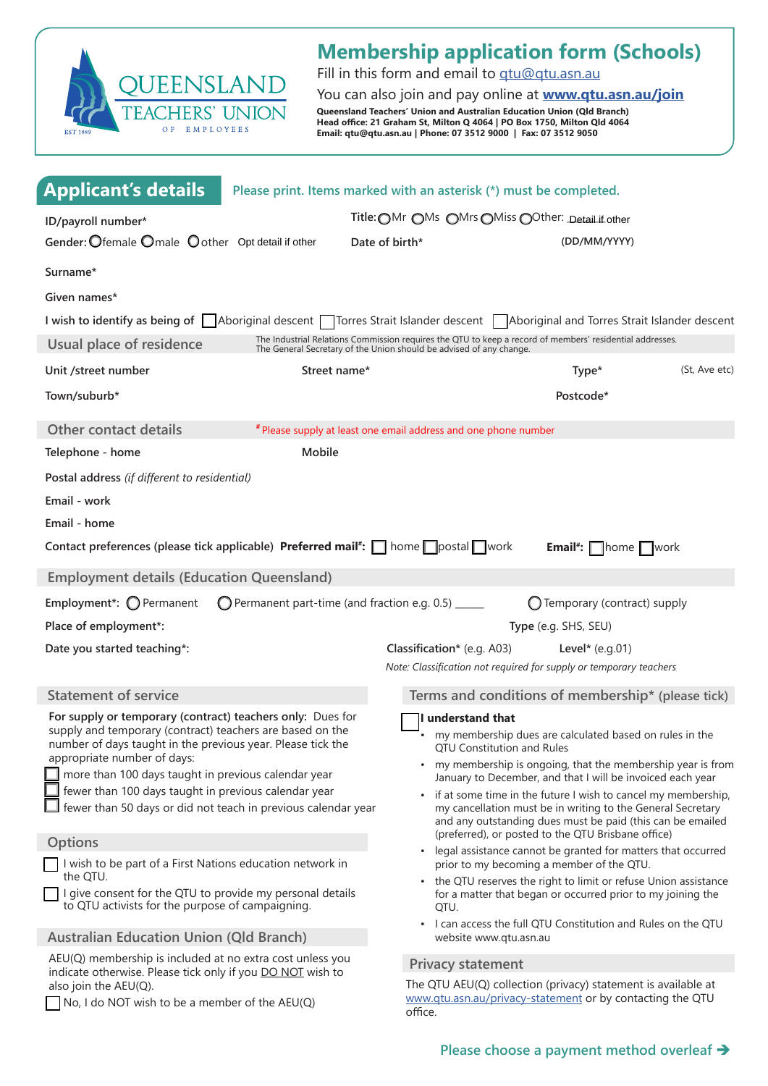

# **Membership application form (Schools)**

Fill in this form and email to qt[u@qtu.asn.au](mailto:qtu%40qtu.asn.au?subject=Membership%20application)

You can also join and pay online at **[www.qtu.asn.au/join](https://www.qtu.asn.au/join) Queensland Teachers' Union and Australian Education Union (Qld Branch) Head office: 21 Graham St, Milton Q 4064 | PO Box 1750, Milton Qld 4064 Email: qtu@qtu.asn.au | Phone: 07 3512 9000 | Fax: 07 3512 9050**

| <b>Applicant's details</b>                                                                                                                                                                                                                                                                                                           | Please print. Items marked with an asterisk (*) must be completed. |                                                                                                                                                                                                                                                                                                          |               |  |                                                               |  |                                                                                                                           |  |
|--------------------------------------------------------------------------------------------------------------------------------------------------------------------------------------------------------------------------------------------------------------------------------------------------------------------------------------|--------------------------------------------------------------------|----------------------------------------------------------------------------------------------------------------------------------------------------------------------------------------------------------------------------------------------------------------------------------------------------------|---------------|--|---------------------------------------------------------------|--|---------------------------------------------------------------------------------------------------------------------------|--|
| ID/payroll number*                                                                                                                                                                                                                                                                                                                   |                                                                    | Title: OMr OMs OMrs OMiss OOther: Detail if other                                                                                                                                                                                                                                                        |               |  |                                                               |  |                                                                                                                           |  |
| Gender: Ofemale Omale Oother Opt detail if other                                                                                                                                                                                                                                                                                     |                                                                    | (DD/MM/YYYY)<br>Date of birth*                                                                                                                                                                                                                                                                           |               |  |                                                               |  |                                                                                                                           |  |
| Surname*                                                                                                                                                                                                                                                                                                                             |                                                                    |                                                                                                                                                                                                                                                                                                          |               |  |                                                               |  |                                                                                                                           |  |
| Given names*                                                                                                                                                                                                                                                                                                                         |                                                                    |                                                                                                                                                                                                                                                                                                          |               |  |                                                               |  |                                                                                                                           |  |
|                                                                                                                                                                                                                                                                                                                                      |                                                                    | I wish to identify as being of Aboriginal descent   Torres Strait Islander descent   Aboriginal and Torres Strait Islander descent                                                                                                                                                                       |               |  |                                                               |  |                                                                                                                           |  |
| Usual place of residence                                                                                                                                                                                                                                                                                                             |                                                                    | The Industrial Relations Commission requires the QTU to keep a record of members' residential addresses.<br>The General Secretary of the Union should be advised of any change.                                                                                                                          |               |  |                                                               |  |                                                                                                                           |  |
| Unit /street number                                                                                                                                                                                                                                                                                                                  | Street name*                                                       | Type*                                                                                                                                                                                                                                                                                                    | (St, Ave etc) |  |                                                               |  |                                                                                                                           |  |
| Town/suburb*                                                                                                                                                                                                                                                                                                                         |                                                                    | Postcode*                                                                                                                                                                                                                                                                                                |               |  |                                                               |  |                                                                                                                           |  |
| <b>Other contact details</b>                                                                                                                                                                                                                                                                                                         |                                                                    | # Please supply at least one email address and one phone number                                                                                                                                                                                                                                          |               |  |                                                               |  |                                                                                                                           |  |
| Telephone - home                                                                                                                                                                                                                                                                                                                     | Mobile                                                             |                                                                                                                                                                                                                                                                                                          |               |  |                                                               |  |                                                                                                                           |  |
| Postal address (if different to residential)                                                                                                                                                                                                                                                                                         |                                                                    |                                                                                                                                                                                                                                                                                                          |               |  |                                                               |  |                                                                                                                           |  |
| Email - work                                                                                                                                                                                                                                                                                                                         |                                                                    |                                                                                                                                                                                                                                                                                                          |               |  |                                                               |  |                                                                                                                           |  |
| Email - home                                                                                                                                                                                                                                                                                                                         |                                                                    |                                                                                                                                                                                                                                                                                                          |               |  |                                                               |  |                                                                                                                           |  |
| Contact preferences (please tick applicable) Preferred mail*: nomenlostal work                                                                                                                                                                                                                                                       |                                                                    | Email#: home work                                                                                                                                                                                                                                                                                        |               |  |                                                               |  |                                                                                                                           |  |
| <b>Employment details (Education Queensland)</b>                                                                                                                                                                                                                                                                                     |                                                                    |                                                                                                                                                                                                                                                                                                          |               |  |                                                               |  |                                                                                                                           |  |
| Employment*: $\bigcirc$ Permanent                                                                                                                                                                                                                                                                                                    | Permanent part-time (and fraction e.g. 0.5) ______                 | $\bigcirc$ Temporary (contract) supply                                                                                                                                                                                                                                                                   |               |  |                                                               |  |                                                                                                                           |  |
| Place of employment*:                                                                                                                                                                                                                                                                                                                |                                                                    | Type (e.g. SHS, SEU)                                                                                                                                                                                                                                                                                     |               |  |                                                               |  |                                                                                                                           |  |
| Date you started teaching*:                                                                                                                                                                                                                                                                                                          |                                                                    | Classification* (e.g. A03)<br>Level* $(e.g.01)$                                                                                                                                                                                                                                                          |               |  |                                                               |  |                                                                                                                           |  |
|                                                                                                                                                                                                                                                                                                                                      |                                                                    | Note: Classification not required for supply or temporary teachers                                                                                                                                                                                                                                       |               |  |                                                               |  |                                                                                                                           |  |
| <b>Statement of service</b>                                                                                                                                                                                                                                                                                                          |                                                                    | Terms and conditions of membership* (please tick)                                                                                                                                                                                                                                                        |               |  |                                                               |  |                                                                                                                           |  |
| For supply or temporary (contract) teachers only: Dues for<br>supply and temporary (contract) teachers are based on the<br>number of days taught in the previous year. Please tick the<br>appropriate number of days:<br>more than 100 days taught in previous calendar year<br>fewer than 100 days taught in previous calendar year |                                                                    | ll understand that<br>my membership dues are calculated based on rules in the<br>QTU Constitution and Rules<br>my membership is ongoing, that the membership year is from<br>January to December, and that I will be invoiced each year<br>if at some time in the future I wish to cancel my membership, |               |  |                                                               |  |                                                                                                                           |  |
|                                                                                                                                                                                                                                                                                                                                      |                                                                    |                                                                                                                                                                                                                                                                                                          |               |  | fewer than 50 days or did not teach in previous calendar year |  | my cancellation must be in writing to the General Secretary<br>and any outstanding dues must be paid (this can be emailed |  |
|                                                                                                                                                                                                                                                                                                                                      |                                                                    |                                                                                                                                                                                                                                                                                                          |               |  | <b>Options</b>                                                |  | (preferred), or posted to the QTU Brisbane office)                                                                        |  |
|                                                                                                                                                                                                                                                                                                                                      |                                                                    |                                                                                                                                                                                                                                                                                                          |               |  | I wish to be part of a First Nations education network in     |  | legal assistance cannot be granted for matters that occurred<br>$\bullet$<br>prior to my becoming a member of the QTU.    |  |
| the QTU.<br>I give consent for the QTU to provide my personal details<br>to QTU activists for the purpose of campaigning.                                                                                                                                                                                                            |                                                                    | • the QTU reserves the right to limit or refuse Union assistance<br>for a matter that began or occurred prior to my joining the<br>QTU.                                                                                                                                                                  |               |  |                                                               |  |                                                                                                                           |  |
|                                                                                                                                                                                                                                                                                                                                      |                                                                    |                                                                                                                                                                                                                                                                                                          |               |  | <b>Australian Education Union (Qld Branch)</b>                |  | I can access the full QTU Constitution and Rules on the QTU<br>website www.qtu.asn.au                                     |  |
| AEU(Q) membership is included at no extra cost unless you<br>indicate otherwise. Please tick only if you DO NOT wish to<br>also join the AEU(Q).<br>No, I do NOT wish to be a member of the AEU(Q)                                                                                                                                   |                                                                    | <b>Privacy statement</b>                                                                                                                                                                                                                                                                                 |               |  |                                                               |  |                                                                                                                           |  |
|                                                                                                                                                                                                                                                                                                                                      |                                                                    | The QTU AEU(Q) collection (privacy) statement is available at<br>www.qtu.asn.au/privacy-statement or by contacting the QTU<br>office.                                                                                                                                                                    |               |  |                                                               |  |                                                                                                                           |  |